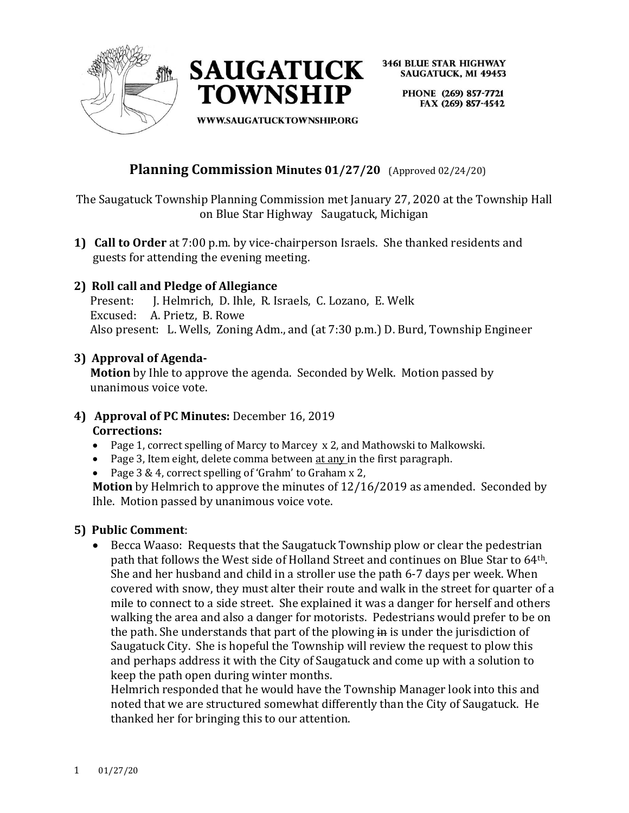



> PHONE (269) 857-7721 FAX (269) 857-4542

WWW.SAUGATUCKTOWNSHIP.ORG

# **Planning Commission Minutes 01/27/20** (Approved 02/24/20)

The Saugatuck Township Planning Commission met January 27, 2020 at the Township Hall on Blue Star Highway Saugatuck, Michigan

**1) Call to Order** at 7:00 p.m. by vice-chairperson Israels. She thanked residents and guests for attending the evening meeting.

# **2) Roll call and Pledge of Allegiance**

 Present: J. Helmrich, D. Ihle, R. Israels, C. Lozano, E. Welk Excused: A. Prietz, B. Rowe Also present: L. Wells, Zoning Adm., and (at 7:30 p.m.) D. Burd, Township Engineer

### **3) Approval of Agenda-**

**Motion** by Ihle to approve the agenda. Seconded by Welk. Motion passed by unanimous voice vote.

### **4) Approval of PC Minutes:** December 16, 2019 **Corrections:**

- Page 1, correct spelling of Marcy to Marcey x 2, and Mathowski to Malkowski.
- Page 3, Item eight, delete comma between at any in the first paragraph.
- Page 3 & 4, correct spelling of 'Grahm' to Graham x 2,

**Motion** by Helmrich to approve the minutes of 12/16/2019 as amended. Seconded by Ihle. Motion passed by unanimous voice vote.

### **5) Public Comment**:

• Becca Waaso: Requests that the Saugatuck Township plow or clear the pedestrian path that follows the West side of Holland Street and continues on Blue Star to 64th. She and her husband and child in a stroller use the path 6-7 days per week. When covered with snow, they must alter their route and walk in the street for quarter of a mile to connect to a side street. She explained it was a danger for herself and others walking the area and also a danger for motorists. Pedestrians would prefer to be on the path. She understands that part of the plowing in is under the jurisdiction of Saugatuck City. She is hopeful the Township will review the request to plow this and perhaps address it with the City of Saugatuck and come up with a solution to keep the path open during winter months.

Helmrich responded that he would have the Township Manager look into this and noted that we are structured somewhat differently than the City of Saugatuck. He thanked her for bringing this to our attention.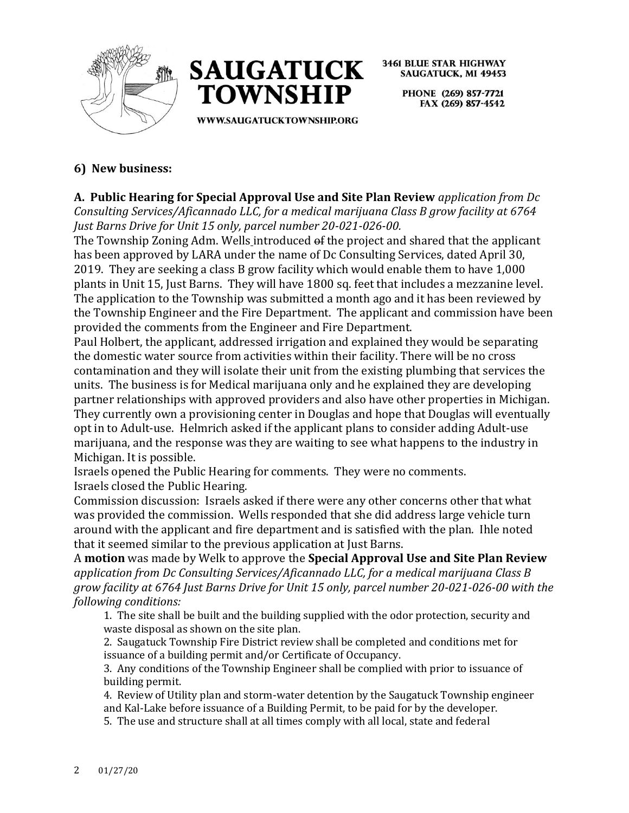



> PHONE (269) 857-7721 FAX (269) 857-4542

# **6) New business:**

**A. Public Hearing for Special Approval Use and Site Plan Review** *application from Dc Consulting Services/Aficannado LLC, for a medical marijuana Class B grow facility at 6764 Just Barns Drive for Unit 15 only, parcel number 20-021-026-00.* 

The Township Zoning Adm. Wells introduced of the project and shared that the applicant has been approved by LARA under the name of Dc Consulting Services, dated April 30, 2019. They are seeking a class B grow facility which would enable them to have 1,000 plants in Unit 15, Just Barns. They will have 1800 sq. feet that includes a mezzanine level. The application to the Township was submitted a month ago and it has been reviewed by the Township Engineer and the Fire Department. The applicant and commission have been provided the comments from the Engineer and Fire Department.

Paul Holbert, the applicant, addressed irrigation and explained they would be separating the domestic water source from activities within their facility. There will be no cross contamination and they will isolate their unit from the existing plumbing that services the units. The business is for Medical marijuana only and he explained they are developing partner relationships with approved providers and also have other properties in Michigan. They currently own a provisioning center in Douglas and hope that Douglas will eventually opt in to Adult-use. Helmrich asked if the applicant plans to consider adding Adult-use marijuana, and the response was they are waiting to see what happens to the industry in Michigan. It is possible.

Israels opened the Public Hearing for comments. They were no comments. Israels closed the Public Hearing.

Commission discussion: Israels asked if there were any other concerns other that what was provided the commission. Wells responded that she did address large vehicle turn around with the applicant and fire department and is satisfied with the plan. Ihle noted that it seemed similar to the previous application at Just Barns.

A **motion** was made by Welk to approve the **Special Approval Use and Site Plan Review**  *application from Dc Consulting Services/Aficannado LLC, for a medical marijuana Class B grow facility at 6764 Just Barns Drive for Unit 15 only, parcel number 20-021-026-00 with the following conditions:* 

1. The site shall be built and the building supplied with the odor protection, security and waste disposal as shown on the site plan.

2. Saugatuck Township Fire District review shall be completed and conditions met for issuance of a building permit and/or Certificate of Occupancy.

3. Any conditions of the Township Engineer shall be complied with prior to issuance of building permit.

4. Review of Utility plan and storm-water detention by the Saugatuck Township engineer and Kal-Lake before issuance of a Building Permit, to be paid for by the developer.

5. The use and structure shall at all times comply with all local, state and federal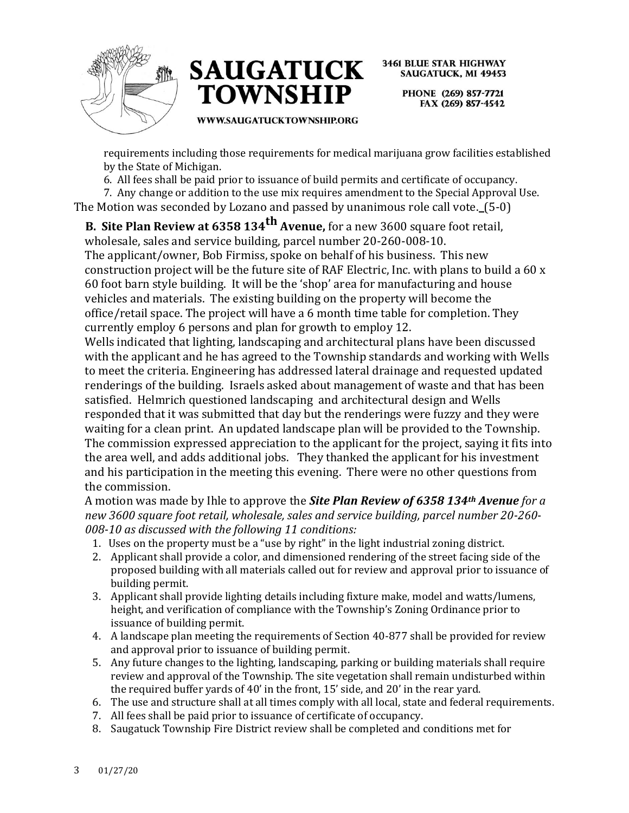



> PHONE (269) 857-7721 FAX (269) 857-4542

#### **WWW.SAUGATUCKTOWNSHIP.ORG**

requirements including those requirements for medical marijuana grow facilities established by the State of Michigan.

6. All fees shall be paid prior to issuance of build permits and certificate of occupancy.

7. Any change or addition to the use mix requires amendment to the Special Approval Use. The Motion was seconded by Lozano and passed by unanimous role call vote. (5-0)

**B. Site Plan Review at 6358 134th Avenue,** for a new 3600 square foot retail, wholesale, sales and service building, parcel number 20-260-008-10.

The applicant/owner, Bob Firmiss, spoke on behalf of his business. This new construction project will be the future site of RAF Electric, Inc. with plans to build a 60 x 60 foot barn style building. It will be the 'shop' area for manufacturing and house vehicles and materials. The existing building on the property will become the office/retail space. The project will have a 6 month time table for completion. They currently employ 6 persons and plan for growth to employ 12.

Wells indicated that lighting, landscaping and architectural plans have been discussed with the applicant and he has agreed to the Township standards and working with Wells to meet the criteria. Engineering has addressed lateral drainage and requested updated renderings of the building. Israels asked about management of waste and that has been satisfied. Helmrich questioned landscaping and architectural design and Wells responded that it was submitted that day but the renderings were fuzzy and they were waiting for a clean print. An updated landscape plan will be provided to the Township. The commission expressed appreciation to the applicant for the project, saying it fits into the area well, and adds additional jobs. They thanked the applicant for his investment and his participation in the meeting this evening. There were no other questions from the commission.

A motion was made by Ihle to approve the *Site Plan Review of 6358 134th Avenue for a new 3600 square foot retail, wholesale, sales and service building, parcel number 20-260- 008-10 as discussed with the following 11 conditions:*

- 1. Uses on the property must be a "use by right" in the light industrial zoning district.
- 2. Applicant shall provide a color, and dimensioned rendering of the street facing side of the proposed building with all materials called out for review and approval prior to issuance of building permit.
- 3. Applicant shall provide lighting details including fixture make, model and watts/lumens, height, and verification of compliance with the Township's Zoning Ordinance prior to issuance of building permit.
- 4. A landscape plan meeting the requirements of Section 40-877 shall be provided for review and approval prior to issuance of building permit.
- 5. Any future changes to the lighting, landscaping, parking or building materials shall require review and approval of the Township. The site vegetation shall remain undisturbed within the required buffer yards of 40' in the front, 15' side, and 20' in the rear yard.
- 6. The use and structure shall at all times comply with all local, state and federal requirements.
- 7. All fees shall be paid prior to issuance of certificate of occupancy.
- 8. Saugatuck Township Fire District review shall be completed and conditions met for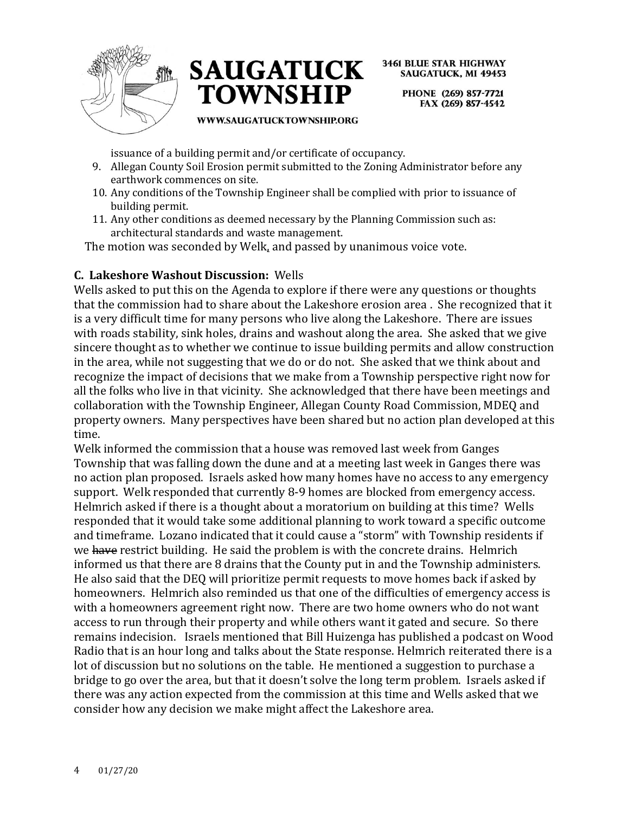



> PHONE (269) 857-7721 FAX (269) 857-4542

#### **WWW.SAUGATUCKTOWNSHIP.ORG**

issuance of a building permit and/or certificate of occupancy.

- 9. Allegan County Soil Erosion permit submitted to the Zoning Administrator before any earthwork commences on site.
- 10. Any conditions of the Township Engineer shall be complied with prior to issuance of building permit.
- 11. Any other conditions as deemed necessary by the Planning Commission such as: architectural standards and waste management.

The motion was seconded by Welk, and passed by unanimous voice vote.

### **C. Lakeshore Washout Discussion:** Wells

Wells asked to put this on the Agenda to explore if there were any questions or thoughts that the commission had to share about the Lakeshore erosion area . She recognized that it is a very difficult time for many persons who live along the Lakeshore. There are issues with roads stability, sink holes, drains and washout along the area. She asked that we give sincere thought as to whether we continue to issue building permits and allow construction in the area, while not suggesting that we do or do not. She asked that we think about and recognize the impact of decisions that we make from a Township perspective right now for all the folks who live in that vicinity. She acknowledged that there have been meetings and collaboration with the Township Engineer, Allegan County Road Commission, MDEQ and property owners. Many perspectives have been shared but no action plan developed at this time.

Welk informed the commission that a house was removed last week from Ganges Township that was falling down the dune and at a meeting last week in Ganges there was no action plan proposed. Israels asked how many homes have no access to any emergency support. Welk responded that currently 8-9 homes are blocked from emergency access. Helmrich asked if there is a thought about a moratorium on building at this time? Wells responded that it would take some additional planning to work toward a specific outcome and timeframe. Lozano indicated that it could cause a "storm" with Township residents if we have restrict building. He said the problem is with the concrete drains. Helmrich informed us that there are 8 drains that the County put in and the Township administers. He also said that the DEQ will prioritize permit requests to move homes back if asked by homeowners. Helmrich also reminded us that one of the difficulties of emergency access is with a homeowners agreement right now. There are two home owners who do not want access to run through their property and while others want it gated and secure. So there remains indecision. Israels mentioned that Bill Huizenga has published a podcast on Wood Radio that is an hour long and talks about the State response. Helmrich reiterated there is a lot of discussion but no solutions on the table. He mentioned a suggestion to purchase a bridge to go over the area, but that it doesn't solve the long term problem. Israels asked if there was any action expected from the commission at this time and Wells asked that we consider how any decision we make might affect the Lakeshore area.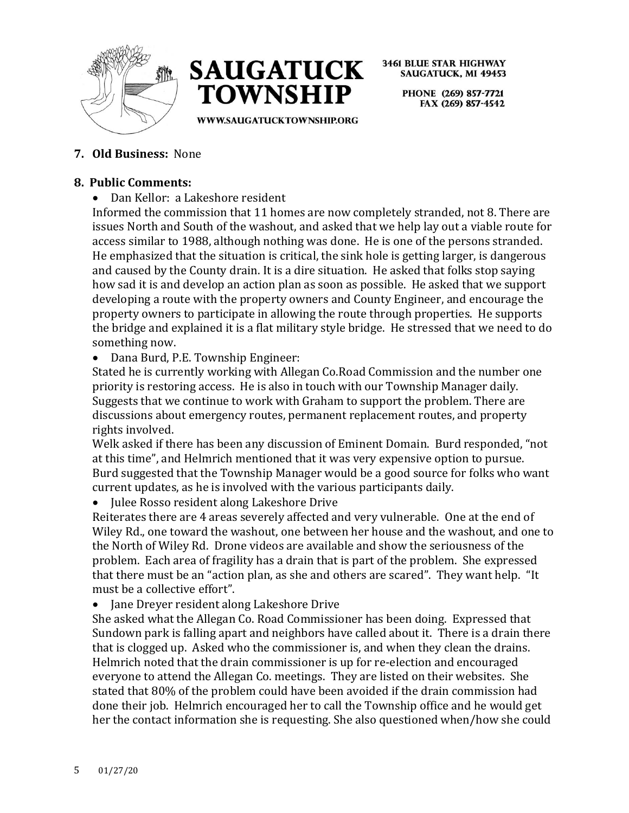



> PHONE (269) 857-7721 FAX (269) 857-4542

WWW.SAUGATUCKTOWNSHIP.ORG

# **7. Old Business:** None

## **8. Public Comments:**

• Dan Kellor: a Lakeshore resident

Informed the commission that 11 homes are now completely stranded, not 8. There are issues North and South of the washout, and asked that we help lay out a viable route for access similar to 1988, although nothing was done. He is one of the persons stranded. He emphasized that the situation is critical, the sink hole is getting larger, is dangerous and caused by the County drain. It is a dire situation. He asked that folks stop saying how sad it is and develop an action plan as soon as possible. He asked that we support developing a route with the property owners and County Engineer, and encourage the property owners to participate in allowing the route through properties. He supports the bridge and explained it is a flat military style bridge. He stressed that we need to do something now.

• Dana Burd, P.E. Township Engineer:

Stated he is currently working with Allegan Co.Road Commission and the number one priority is restoring access. He is also in touch with our Township Manager daily. Suggests that we continue to work with Graham to support the problem. There are discussions about emergency routes, permanent replacement routes, and property rights involved.

Welk asked if there has been any discussion of Eminent Domain. Burd responded, "not at this time", and Helmrich mentioned that it was very expensive option to pursue. Burd suggested that the Township Manager would be a good source for folks who want current updates, as he is involved with the various participants daily.

• Julee Rosso resident along Lakeshore Drive

Reiterates there are 4 areas severely affected and very vulnerable. One at the end of Wiley Rd., one toward the washout, one between her house and the washout, and one to the North of Wiley Rd. Drone videos are available and show the seriousness of the problem. Each area of fragility has a drain that is part of the problem. She expressed that there must be an "action plan, as she and others are scared". They want help. "It must be a collective effort".

• Jane Dreyer resident along Lakeshore Drive

She asked what the Allegan Co. Road Commissioner has been doing. Expressed that Sundown park is falling apart and neighbors have called about it. There is a drain there that is clogged up. Asked who the commissioner is, and when they clean the drains. Helmrich noted that the drain commissioner is up for re-election and encouraged everyone to attend the Allegan Co. meetings. They are listed on their websites. She stated that 80% of the problem could have been avoided if the drain commission had done their job. Helmrich encouraged her to call the Township office and he would get her the contact information she is requesting. She also questioned when/how she could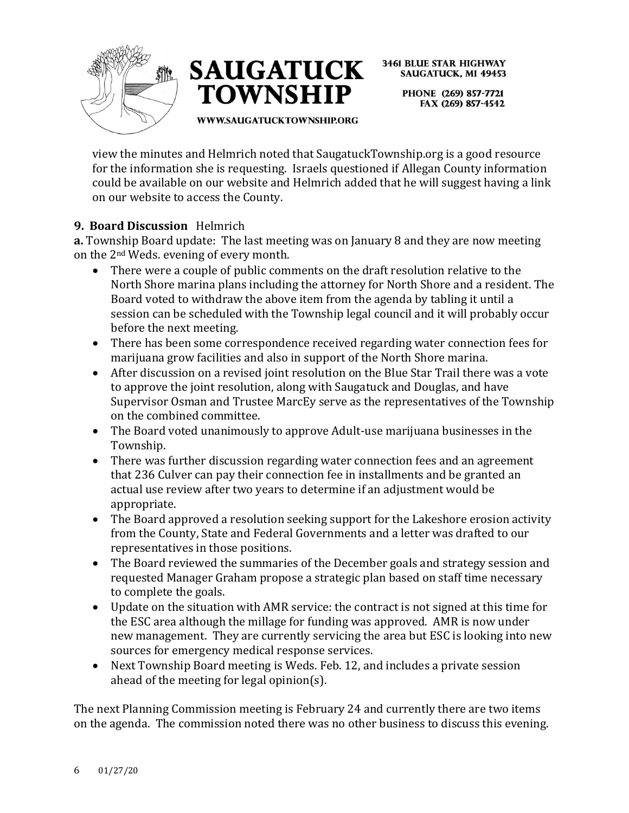



> PHONE (269) 857-7721 FAX (269) 857-4542

WWW.SAUGATUCKTOWNSHIP.ORG

view the minutes and Helmrich noted that SaugatuckTownship.org is a good resource for the information she is requesting. Israels questioned if Allegan County information could be available on our website and Helmrich added that he will suggest having a link on our website to access the County.

# **9. Board Discussion** Helmrich

**a.** Township Board update: The last meeting was on January 8 and they are now meeting on the 2nd Weds. evening of every month.

- There were a couple of public comments on the draft resolution relative to the North Shore marina plans including the attorney for North Shore and a resident. The Board voted to withdraw the above item from the agenda by tabling it until a session can be scheduled with the Township legal council and it will probably occur before the next meeting.
- There has been some correspondence received regarding water connection fees for marijuana grow facilities and also in support of the North Shore marina.
- After discussion on a revised joint resolution on the Blue Star Trail there was a vote to approve the joint resolution, along with Saugatuck and Douglas, and have Supervisor Osman and Trustee MarcEy serve as the representatives of the Township on the combined committee.
- The Board voted unanimously to approve Adult-use marijuana businesses in the Township.
- There was further discussion regarding water connection fees and an agreement that 236 Culver can pay their connection fee in installments and be granted an actual use review after two years to determine if an adjustment would be appropriate.
- The Board approved a resolution seeking support for the Lakeshore erosion activity from the County, State and Federal Governments and a letter was drafted to our representatives in those positions.
- The Board reviewed the summaries of the December goals and strategy session and requested Manager Graham propose a strategic plan based on staff time necessary to complete the goals.
- Update on the situation with AMR service: the contract is not signed at this time for the ESC area although the millage for funding was approved. AMR is now under new management. They are currently servicing the area but ESC is looking into new sources for emergency medical response services.
- Next Township Board meeting is Weds. Feb. 12, and includes a private session ahead of the meeting for legal opinion(s).

The next Planning Commission meeting is February 24 and currently there are two items on the agenda. The commission noted there was no other business to discuss this evening.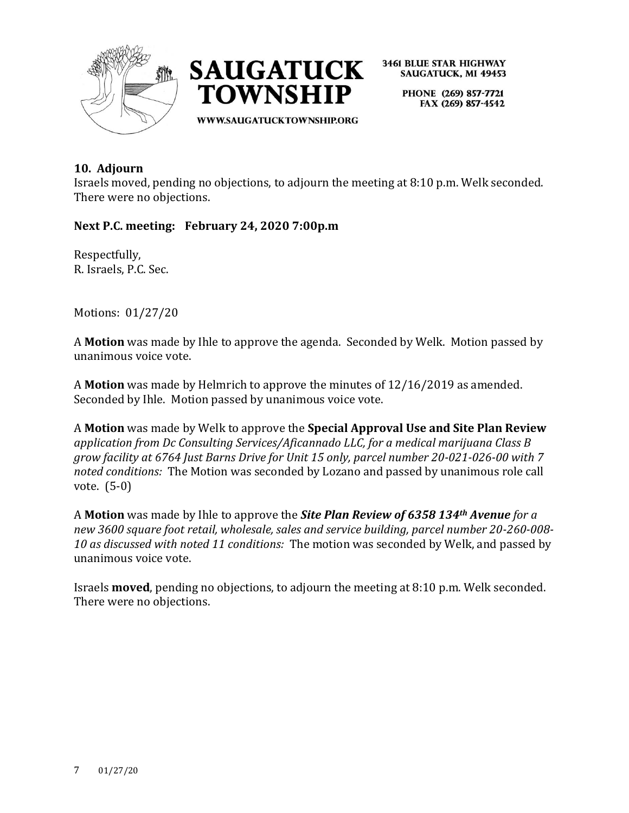



> PHONE (269) 857-7721 FAX (269) 857-4542

**10. Adjourn** 

Israels moved, pending no objections, to adjourn the meeting at 8:10 p.m. Welk seconded. There were no objections.

**Next P.C. meeting: February 24, 2020 7:00p.m**

Respectfully, R. Israels, P.C. Sec.

Motions: 01/27/20

A **Motion** was made by Ihle to approve the agenda. Seconded by Welk. Motion passed by unanimous voice vote.

A **Motion** was made by Helmrich to approve the minutes of 12/16/2019 as amended. Seconded by Ihle. Motion passed by unanimous voice vote.

A **Motion** was made by Welk to approve the **Special Approval Use and Site Plan Review**  *application from Dc Consulting Services/Aficannado LLC, for a medical marijuana Class B grow facility at 6764 Just Barns Drive for Unit 15 only, parcel number 20-021-026-00 with 7 noted conditions:* The Motion was seconded by Lozano and passed by unanimous role call vote. (5-0)

A **Motion** was made by Ihle to approve the *Site Plan Review of 6358 134th Avenue for a new 3600 square foot retail, wholesale, sales and service building, parcel number 20-260-008- 10 as discussed with noted 11 conditions:* The motion was seconded by Welk, and passed by unanimous voice vote.

Israels **moved**, pending no objections, to adjourn the meeting at 8:10 p.m. Welk seconded. There were no objections.